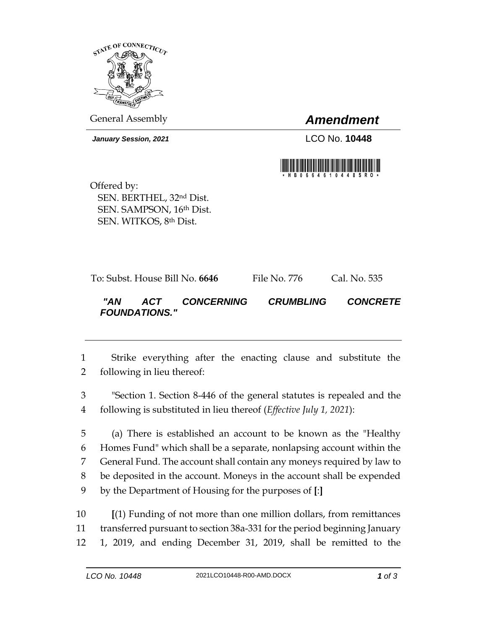

General Assembly *Amendment*

*January Session, 2021* LCO No. **10448**



Offered by: SEN. BERTHEL, 32nd Dist. SEN. SAMPSON, 16th Dist. SEN. WITKOS, 8th Dist.

*FOUNDATIONS."* 

|     |     | To: Subst. House Bill No. <b>6646</b> | File No. 776            | Cal. No. 535    |
|-----|-----|---------------------------------------|-------------------------|-----------------|
| "AN | ACT | <b>CONCERNING</b>                     | <i><b>CRUMBLING</b></i> | <b>CONCRETE</b> |

1 Strike everything after the enacting clause and substitute the 2 following in lieu thereof:

3 "Section 1. Section 8-446 of the general statutes is repealed and the 4 following is substituted in lieu thereof (*Effective July 1, 2021*):

 (a) There is established an account to be known as the "Healthy Homes Fund" which shall be a separate, nonlapsing account within the General Fund. The account shall contain any moneys required by law to be deposited in the account. Moneys in the account shall be expended by the Department of Housing for the purposes of **[**:**]**

10 **[**(1) Funding of not more than one million dollars, from remittances 11 transferred pursuant to section 38a-331 for the period beginning January 12 1, 2019, and ending December 31, 2019, shall be remitted to the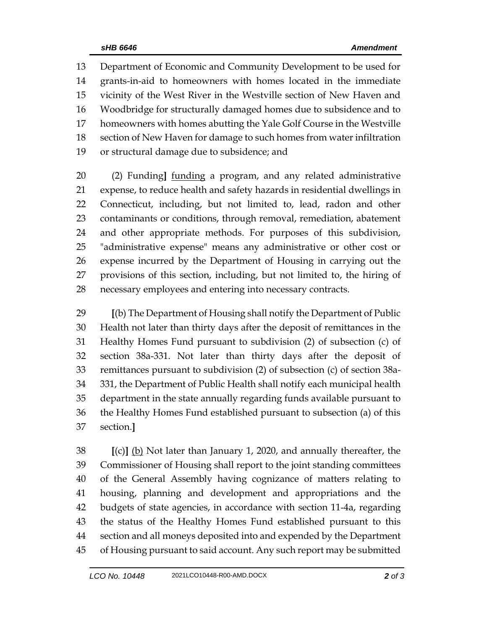Department of Economic and Community Development to be used for grants-in-aid to homeowners with homes located in the immediate vicinity of the West River in the Westville section of New Haven and Woodbridge for structurally damaged homes due to subsidence and to homeowners with homes abutting the Yale Golf Course in the Westville section of New Haven for damage to such homes from water infiltration or structural damage due to subsidence; and

 (2) Funding**]** funding a program, and any related administrative expense, to reduce health and safety hazards in residential dwellings in Connecticut, including, but not limited to, lead, radon and other contaminants or conditions, through removal, remediation, abatement and other appropriate methods. For purposes of this subdivision, "administrative expense" means any administrative or other cost or expense incurred by the Department of Housing in carrying out the provisions of this section, including, but not limited to, the hiring of necessary employees and entering into necessary contracts.

 **[**(b) The Department of Housing shall notify the Department of Public Health not later than thirty days after the deposit of remittances in the Healthy Homes Fund pursuant to subdivision (2) of subsection (c) of section 38a-331. Not later than thirty days after the deposit of remittances pursuant to subdivision (2) of subsection (c) of section 38a- 331, the Department of Public Health shall notify each municipal health department in the state annually regarding funds available pursuant to the Healthy Homes Fund established pursuant to subsection (a) of this section.**]**

 **[**(c)**]** (b) Not later than January 1, 2020, and annually thereafter, the Commissioner of Housing shall report to the joint standing committees of the General Assembly having cognizance of matters relating to housing, planning and development and appropriations and the budgets of state agencies, in accordance with section 11-4a, regarding the status of the Healthy Homes Fund established pursuant to this section and all moneys deposited into and expended by the Department of Housing pursuant to said account. Any such report may be submitted